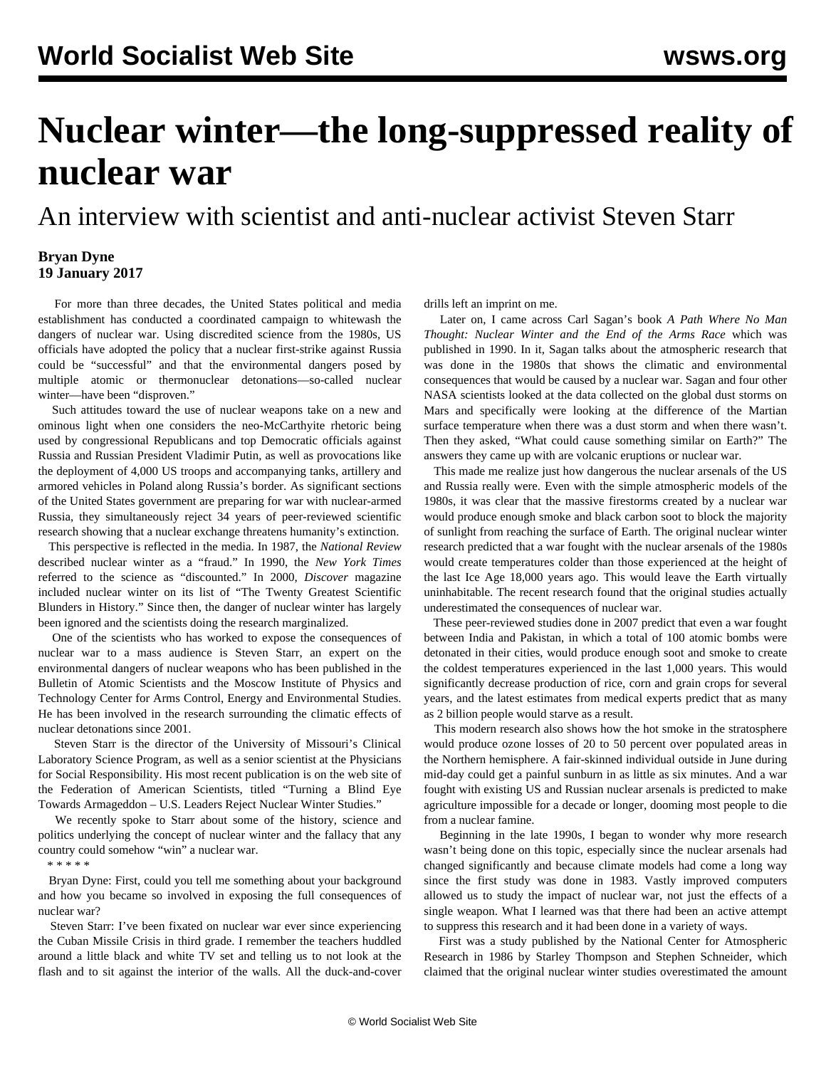## **Nuclear winter—the long-suppressed reality of nuclear war**

An interview with scientist and anti-nuclear activist Steven Starr

## **Bryan Dyne 19 January 2017**

 For more than three decades, the United States political and media establishment has conducted a coordinated campaign to whitewash the dangers of nuclear war. Using discredited science from the 1980s, US officials have adopted the policy that a nuclear first-strike against Russia could be "successful" and that the environmental dangers posed by multiple atomic or thermonuclear detonations—so-called nuclear winter—have been "disproven."

 Such attitudes toward the use of nuclear weapons take on a new and ominous light when one considers the neo-McCarthyite rhetoric being used by congressional Republicans and top Democratic officials against Russia and Russian President Vladimir Putin, as well as provocations like the deployment of 4,000 US troops and accompanying tanks, artillery and armored vehicles in Poland along Russia's border. As significant sections of the United States government are preparing for war with nuclear-armed Russia, they simultaneously reject 34 years of peer-reviewed scientific research showing that a nuclear exchange threatens humanity's extinction.

 This perspective is reflected in the media. In 1987, the *National Review* described nuclear winter as a "fraud." In 1990, the *New York Times* referred to the science as "discounted." In 2000, *Discover* magazine included nuclear winter on its list of "The Twenty Greatest Scientific Blunders in History." Since then, the danger of nuclear winter has largely been ignored and the scientists doing the research marginalized.

 One of the scientists who has worked to expose the consequences of nuclear war to a mass audience is Steven Starr, an expert on the environmental dangers of nuclear weapons who has been published in the Bulletin of Atomic Scientists and the Moscow Institute of Physics and Technology Center for Arms Control, Energy and Environmental Studies. He has been involved in the research surrounding the climatic effects of nuclear detonations since 2001.

 Steven Starr is the director of the University of Missouri's Clinical Laboratory Science Program, as well as a senior scientist at the Physicians for Social Responsibility. His most recent publication is on the web site of the Federation of American Scientists, titled "Turning a Blind Eye Towards Armageddon – U.S. Leaders Reject Nuclear Winter Studies."

 We recently spoke to Starr about some of the history, science and politics underlying the concept of nuclear winter and the fallacy that any country could somehow "win" a nuclear war.

\* \* \* \* \*

 Bryan Dyne: First, could you tell me something about your background and how you became so involved in exposing the full consequences of nuclear war?

 Steven Starr: I've been fixated on nuclear war ever since experiencing the Cuban Missile Crisis in third grade. I remember the teachers huddled around a little black and white TV set and telling us to not look at the flash and to sit against the interior of the walls. All the duck-and-cover drills left an imprint on me.

 Later on, I came across Carl Sagan's book *A Path Where No Man Thought: Nuclear Winter and the End of the Arms Race* which was published in 1990. In it, Sagan talks about the atmospheric research that was done in the 1980s that shows the climatic and environmental consequences that would be caused by a nuclear war. Sagan and four other NASA scientists looked at the data collected on the global dust storms on Mars and specifically were looking at the difference of the Martian surface temperature when there was a dust storm and when there wasn't. Then they asked, "What could cause something similar on Earth?" The answers they came up with are volcanic eruptions or nuclear war.

 This made me realize just how dangerous the nuclear arsenals of the US and Russia really were. Even with the simple atmospheric models of the 1980s, it was clear that the massive firestorms created by a nuclear war would produce enough smoke and black carbon soot to block the majority of sunlight from reaching the surface of Earth. The original nuclear winter research predicted that a war fought with the nuclear arsenals of the 1980s would create temperatures colder than those experienced at the height of the last Ice Age 18,000 years ago. This would leave the Earth virtually uninhabitable. The recent research found that the original studies actually underestimated the consequences of nuclear war.

 These peer-reviewed studies done in 2007 predict that even a war fought between India and Pakistan, in which a total of 100 atomic bombs were detonated in their cities, would produce enough soot and smoke to create the coldest temperatures experienced in the last 1,000 years. This would significantly decrease production of rice, corn and grain crops for several years, and the latest estimates from medical experts predict that as many as 2 billion people would starve as a result.

 This modern research also shows how the hot smoke in the stratosphere would produce ozone losses of 20 to 50 percent over populated areas in the Northern hemisphere. A fair-skinned individual outside in June during mid-day could get a painful sunburn in as little as six minutes. And a war fought with existing US and Russian nuclear arsenals is predicted to make agriculture impossible for a decade or longer, dooming most people to die from a nuclear famine.

 Beginning in the late 1990s, I began to wonder why more research wasn't being done on this topic, especially since the nuclear arsenals had changed significantly and because climate models had come a long way since the first study was done in 1983. Vastly improved computers allowed us to study the impact of nuclear war, not just the effects of a single weapon. What I learned was that there had been an active attempt to suppress this research and it had been done in a variety of ways.

 First was a study published by the National Center for Atmospheric Research in 1986 by Starley Thompson and Stephen Schneider, which claimed that the original nuclear winter studies overestimated the amount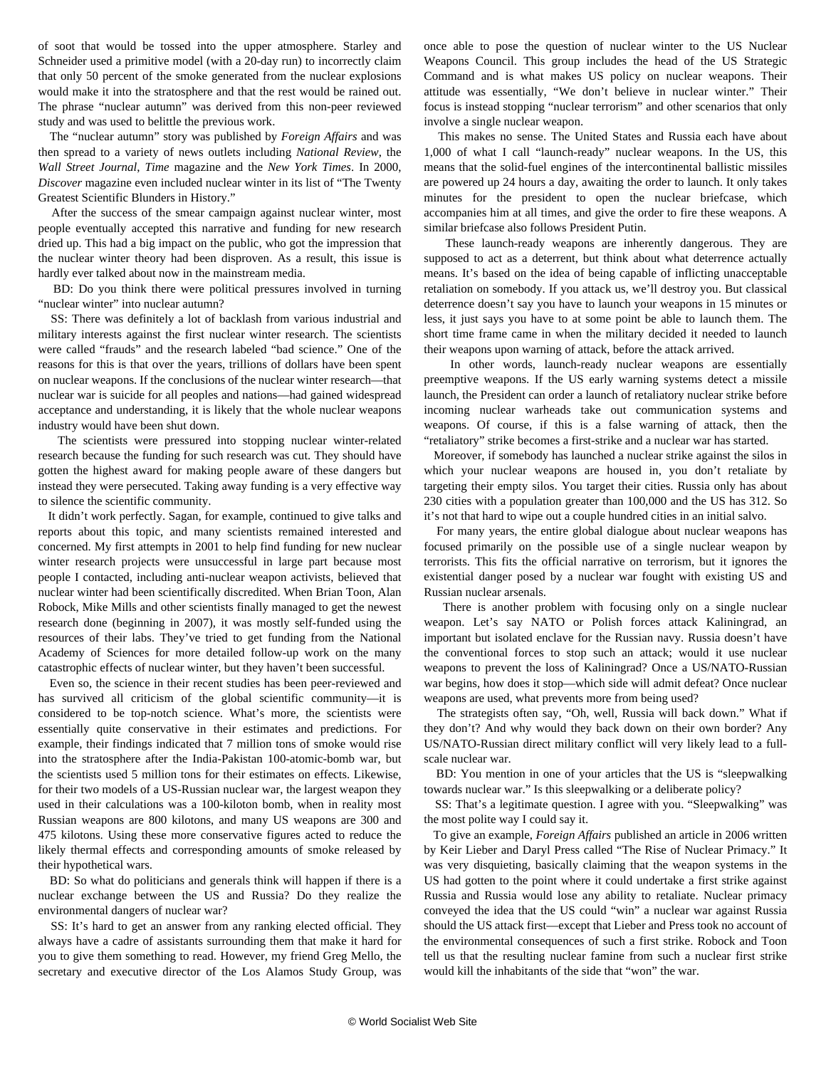of soot that would be tossed into the upper atmosphere. Starley and Schneider used a primitive model (with a 20-day run) to incorrectly claim that only 50 percent of the smoke generated from the nuclear explosions would make it into the stratosphere and that the rest would be rained out. The phrase "nuclear autumn" was derived from this non-peer reviewed study and was used to belittle the previous work.

 The "nuclear autumn" story was published by *Foreign Affairs* and was then spread to a variety of news outlets including *National Review*, the *Wall Street Journal*, *Time* magazine and the *New York Times*. In 2000, *Discover* magazine even included nuclear winter in its list of "The Twenty Greatest Scientific Blunders in History."

 After the success of the smear campaign against nuclear winter, most people eventually accepted this narrative and funding for new research dried up. This had a big impact on the public, who got the impression that the nuclear winter theory had been disproven. As a result, this issue is hardly ever talked about now in the mainstream media.

 BD: Do you think there were political pressures involved in turning "nuclear winter" into nuclear autumn?

 SS: There was definitely a lot of backlash from various industrial and military interests against the first nuclear winter research. The scientists were called "frauds" and the research labeled "bad science." One of the reasons for this is that over the years, trillions of dollars have been spent on nuclear weapons. If the conclusions of the nuclear winter research—that nuclear war is suicide for all peoples and nations—had gained widespread acceptance and understanding, it is likely that the whole nuclear weapons industry would have been shut down.

 The scientists were pressured into stopping nuclear winter-related research because the funding for such research was cut. They should have gotten the highest award for making people aware of these dangers but instead they were persecuted. Taking away funding is a very effective way to silence the scientific community.

 It didn't work perfectly. Sagan, for example, continued to give talks and reports about this topic, and many scientists remained interested and concerned. My first attempts in 2001 to help find funding for new nuclear winter research projects were unsuccessful in large part because most people I contacted, including anti-nuclear weapon activists, believed that nuclear winter had been scientifically discredited. When Brian Toon, Alan Robock, Mike Mills and other scientists finally managed to get the newest research done (beginning in 2007), it was mostly self-funded using the resources of their labs. They've tried to get funding from the National Academy of Sciences for more detailed follow-up work on the many catastrophic effects of nuclear winter, but they haven't been successful.

 Even so, the science in their recent studies has been peer-reviewed and has survived all criticism of the global scientific community-it is considered to be top-notch science. What's more, the scientists were essentially quite conservative in their estimates and predictions. For example, their findings indicated that 7 million tons of smoke would rise into the stratosphere after the India-Pakistan 100-atomic-bomb war, but the scientists used 5 million tons for their estimates on effects. Likewise, for their two models of a US-Russian nuclear war, the largest weapon they used in their calculations was a 100-kiloton bomb, when in reality most Russian weapons are 800 kilotons, and many US weapons are 300 and 475 kilotons. Using these more conservative figures acted to reduce the likely thermal effects and corresponding amounts of smoke released by their hypothetical wars.

 BD: So what do politicians and generals think will happen if there is a nuclear exchange between the US and Russia? Do they realize the environmental dangers of nuclear war?

 SS: It's hard to get an answer from any ranking elected official. They always have a cadre of assistants surrounding them that make it hard for you to give them something to read. However, my friend Greg Mello, the secretary and executive director of the Los Alamos Study Group, was

once able to pose the question of nuclear winter to the US Nuclear Weapons Council. This group includes the head of the US Strategic Command and is what makes US policy on nuclear weapons. Their attitude was essentially, "We don't believe in nuclear winter." Their focus is instead stopping "nuclear terrorism" and other scenarios that only involve a single nuclear weapon.

 This makes no sense. The United States and Russia each have about 1,000 of what I call "launch-ready" nuclear weapons. In the US, this means that the solid-fuel engines of the intercontinental ballistic missiles are powered up 24 hours a day, awaiting the order to launch. It only takes minutes for the president to open the nuclear briefcase, which accompanies him at all times, and give the order to fire these weapons. A similar briefcase also follows President Putin.

 These launch-ready weapons are inherently dangerous. They are supposed to act as a deterrent, but think about what deterrence actually means. It's based on the idea of being capable of inflicting unacceptable retaliation on somebody. If you attack us, we'll destroy you. But classical deterrence doesn't say you have to launch your weapons in 15 minutes or less, it just says you have to at some point be able to launch them. The short time frame came in when the military decided it needed to launch their weapons upon warning of attack, before the attack arrived.

 In other words, launch-ready nuclear weapons are essentially preemptive weapons. If the US early warning systems detect a missile launch, the President can order a launch of retaliatory nuclear strike before incoming nuclear warheads take out communication systems and weapons. Of course, if this is a false warning of attack, then the "retaliatory" strike becomes a first-strike and a nuclear war has started.

 Moreover, if somebody has launched a nuclear strike against the silos in which your nuclear weapons are housed in, you don't retaliate by targeting their empty silos. You target their cities. Russia only has about 230 cities with a population greater than 100,000 and the US has 312. So it's not that hard to wipe out a couple hundred cities in an initial salvo.

 For many years, the entire global dialogue about nuclear weapons has focused primarily on the possible use of a single nuclear weapon by terrorists. This fits the official narrative on terrorism, but it ignores the existential danger posed by a nuclear war fought with existing US and Russian nuclear arsenals.

 There is another problem with focusing only on a single nuclear weapon. Let's say NATO or Polish forces attack Kaliningrad, an important but isolated enclave for the Russian navy. Russia doesn't have the conventional forces to stop such an attack; would it use nuclear weapons to prevent the loss of Kaliningrad? Once a US/NATO-Russian war begins, how does it stop—which side will admit defeat? Once nuclear weapons are used, what prevents more from being used?

 The strategists often say, "Oh, well, Russia will back down." What if they don't? And why would they back down on their own border? Any US/NATO-Russian direct military conflict will very likely lead to a fullscale nuclear war.

 BD: You mention in one of your articles that the US is "sleepwalking towards nuclear war." Is this sleepwalking or a deliberate policy?

 SS: That's a legitimate question. I agree with you. "Sleepwalking" was the most polite way I could say it.

 To give an example, *Foreign Affairs* published an article in 2006 written by Keir Lieber and Daryl Press called "The Rise of Nuclear Primacy." It was very disquieting, basically claiming that the weapon systems in the US had gotten to the point where it could undertake a first strike against Russia and Russia would lose any ability to retaliate. Nuclear primacy conveyed the idea that the US could "win" a nuclear war against Russia should the US attack first—except that Lieber and Press took no account of the environmental consequences of such a first strike. Robock and Toon tell us that the resulting nuclear famine from such a nuclear first strike would kill the inhabitants of the side that "won" the war.